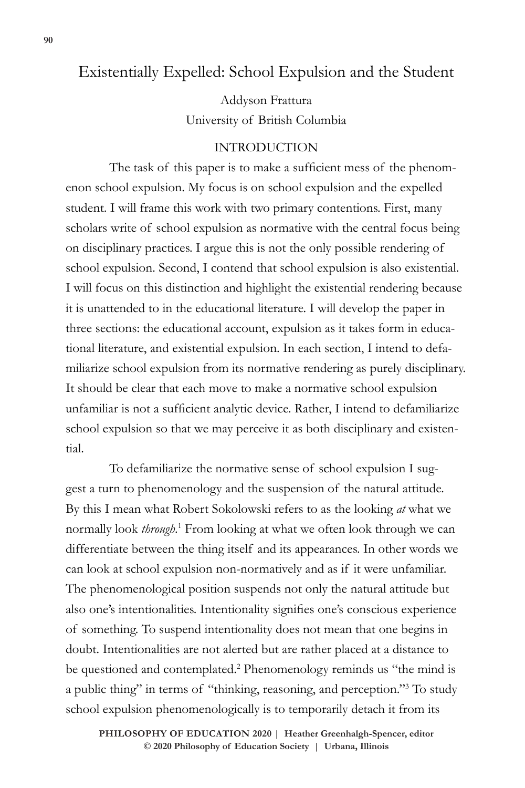# Existentially Expelled: School Expulsion and the Student

Addyson Frattura University of British Columbia

## INTRODUCTION

The task of this paper is to make a sufficient mess of the phenomenon school expulsion. My focus is on school expulsion and the expelled student. I will frame this work with two primary contentions. First, many scholars write of school expulsion as normative with the central focus being on disciplinary practices. I argue this is not the only possible rendering of school expulsion. Second, I contend that school expulsion is also existential. I will focus on this distinction and highlight the existential rendering because it is unattended to in the educational literature. I will develop the paper in three sections: the educational account, expulsion as it takes form in educational literature, and existential expulsion. In each section, I intend to defamiliarize school expulsion from its normative rendering as purely disciplinary. It should be clear that each move to make a normative school expulsion unfamiliar is not a sufficient analytic device. Rather, I intend to defamiliarize school expulsion so that we may perceive it as both disciplinary and existential.

To defamiliarize the normative sense of school expulsion I suggest a turn to phenomenology and the suspension of the natural attitude. By this I mean what Robert Sokolowski refers to as the looking *at* what we normally look *through*.<sup>1</sup> From looking at what we often look through we can differentiate between the thing itself and its appearances. In other words we can look at school expulsion non-normatively and as if it were unfamiliar. The phenomenological position suspends not only the natural attitude but also one's intentionalities. Intentionality signifies one's conscious experience of something. To suspend intentionality does not mean that one begins in doubt. Intentionalities are not alerted but are rather placed at a distance to be questioned and contemplated.<sup>2</sup> Phenomenology reminds us "the mind is a public thing" in terms of "thinking, reasoning, and perception."3 To study school expulsion phenomenologically is to temporarily detach it from its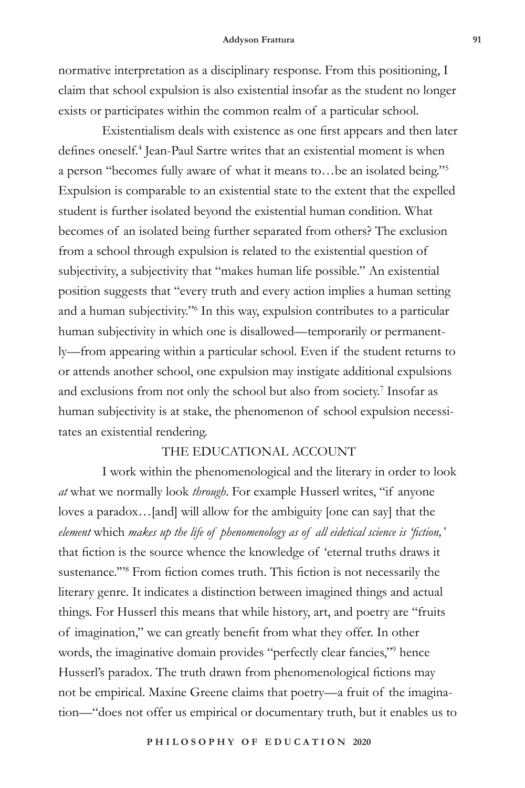normative interpretation as a disciplinary response. From this positioning, I claim that school expulsion is also existential insofar as the student no longer exists or participates within the common realm of a particular school.

Existentialism deals with existence as one first appears and then later defines oneself.<sup>4</sup> Jean-Paul Sartre writes that an existential moment is when a person "becomes fully aware of what it means to…be an isolated being."5 Expulsion is comparable to an existential state to the extent that the expelled student is further isolated beyond the existential human condition. What becomes of an isolated being further separated from others? The exclusion from a school through expulsion is related to the existential question of subjectivity, a subjectivity that "makes human life possible." An existential position suggests that "every truth and every action implies a human setting and a human subjectivity."6 In this way, expulsion contributes to a particular human subjectivity in which one is disallowed—temporarily or permanently—from appearing within a particular school. Even if the student returns to or attends another school, one expulsion may instigate additional expulsions and exclusions from not only the school but also from society.<sup>7</sup> Insofar as human subjectivity is at stake, the phenomenon of school expulsion necessitates an existential rendering.

## THE EDUCATIONAL ACCOUNT

I work within the phenomenological and the literary in order to look *at* what we normally look *through*. For example Husserl writes, "if anyone loves a paradox…[and] will allow for the ambiguity [one can say] that the *element* which *makes up the life of phenomenology as of all eidetical science is 'fiction,'*  that fiction is the source whence the knowledge of 'eternal truths draws it sustenance.'"8 From fiction comes truth. This fiction is not necessarily the literary genre. It indicates a distinction between imagined things and actual things. For Husserl this means that while history, art, and poetry are "fruits of imagination," we can greatly benefit from what they offer. In other words, the imaginative domain provides "perfectly clear fancies,"9 hence Husserl's paradox. The truth drawn from phenomenological fictions may not be empirical. Maxine Greene claims that poetry—a fruit of the imagination—"does not offer us empirical or documentary truth, but it enables us to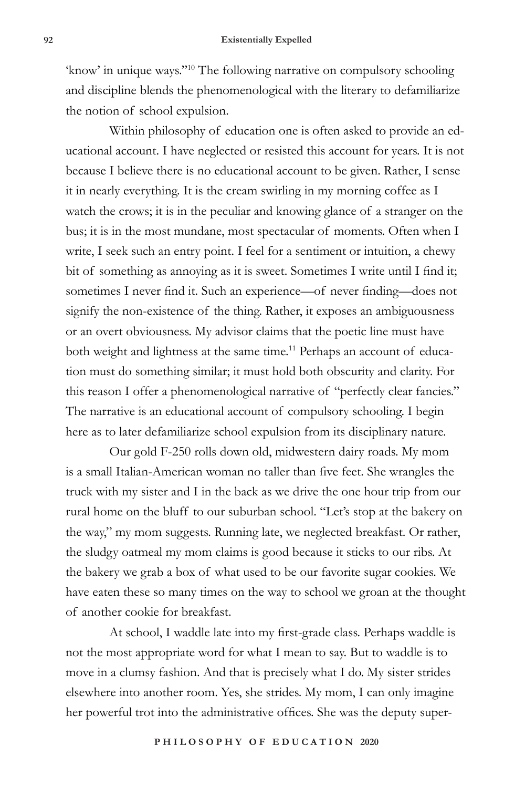'know' in unique ways."10 The following narrative on compulsory schooling and discipline blends the phenomenological with the literary to defamiliarize the notion of school expulsion.

Within philosophy of education one is often asked to provide an educational account. I have neglected or resisted this account for years. It is not because I believe there is no educational account to be given. Rather, I sense it in nearly everything. It is the cream swirling in my morning coffee as I watch the crows; it is in the peculiar and knowing glance of a stranger on the bus; it is in the most mundane, most spectacular of moments. Often when I write, I seek such an entry point. I feel for a sentiment or intuition, a chewy bit of something as annoying as it is sweet. Sometimes I write until I find it; sometimes I never find it. Such an experience—of never finding—does not signify the non-existence of the thing. Rather, it exposes an ambiguousness or an overt obviousness. My advisor claims that the poetic line must have both weight and lightness at the same time.<sup>11</sup> Perhaps an account of education must do something similar; it must hold both obscurity and clarity. For this reason I offer a phenomenological narrative of "perfectly clear fancies." The narrative is an educational account of compulsory schooling. I begin here as to later defamiliarize school expulsion from its disciplinary nature.

Our gold F-250 rolls down old, midwestern dairy roads. My mom is a small Italian-American woman no taller than five feet. She wrangles the truck with my sister and I in the back as we drive the one hour trip from our rural home on the bluff to our suburban school. "Let's stop at the bakery on the way," my mom suggests. Running late, we neglected breakfast. Or rather, the sludgy oatmeal my mom claims is good because it sticks to our ribs. At the bakery we grab a box of what used to be our favorite sugar cookies. We have eaten these so many times on the way to school we groan at the thought of another cookie for breakfast.

At school, I waddle late into my first-grade class. Perhaps waddle is not the most appropriate word for what I mean to say. But to waddle is to move in a clumsy fashion. And that is precisely what I do. My sister strides elsewhere into another room. Yes, she strides. My mom, I can only imagine her powerful trot into the administrative offices. She was the deputy super-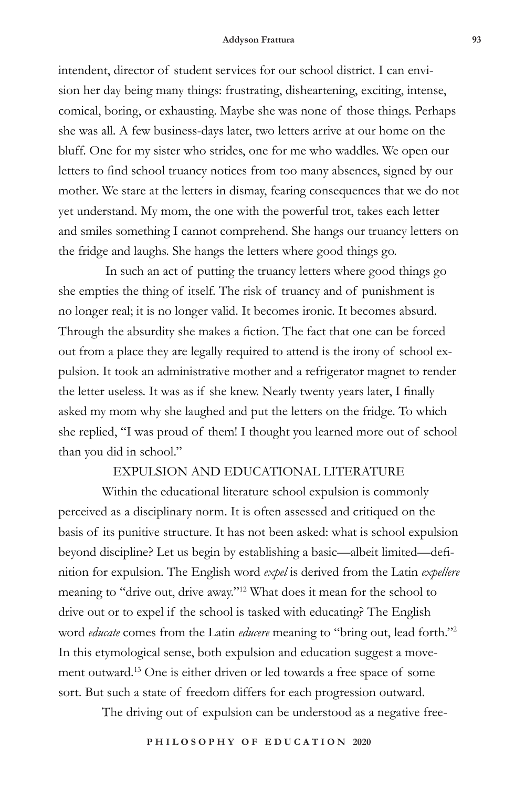#### **Addyson Frattura 93**

intendent, director of student services for our school district. I can envision her day being many things: frustrating, disheartening, exciting, intense, comical, boring, or exhausting. Maybe she was none of those things. Perhaps she was all. A few business-days later, two letters arrive at our home on the bluff. One for my sister who strides, one for me who waddles. We open our letters to find school truancy notices from too many absences, signed by our mother. We stare at the letters in dismay, fearing consequences that we do not yet understand. My mom, the one with the powerful trot, takes each letter and smiles something I cannot comprehend. She hangs our truancy letters on the fridge and laughs. She hangs the letters where good things go.

 In such an act of putting the truancy letters where good things go she empties the thing of itself. The risk of truancy and of punishment is no longer real; it is no longer valid. It becomes ironic. It becomes absurd. Through the absurdity she makes a fiction. The fact that one can be forced out from a place they are legally required to attend is the irony of school expulsion. It took an administrative mother and a refrigerator magnet to render the letter useless. It was as if she knew. Nearly twenty years later, I finally asked my mom why she laughed and put the letters on the fridge. To which she replied, "I was proud of them! I thought you learned more out of school than you did in school."

### EXPULSION AND EDUCATIONAL LITERATURE

Within the educational literature school expulsion is commonly perceived as a disciplinary norm. It is often assessed and critiqued on the basis of its punitive structure. It has not been asked: what is school expulsion beyond discipline? Let us begin by establishing a basic—albeit limited—definition for expulsion. The English word *expel* is derived from the Latin *expellere*  meaning to "drive out, drive away."12 What does it mean for the school to drive out or to expel if the school is tasked with educating? The English word *educate* comes from the Latin *educere* meaning to "bring out, lead forth."2 In this etymological sense, both expulsion and education suggest a movement outward.13 One is either driven or led towards a free space of some sort. But such a state of freedom differs for each progression outward.

The driving out of expulsion can be understood as a negative free-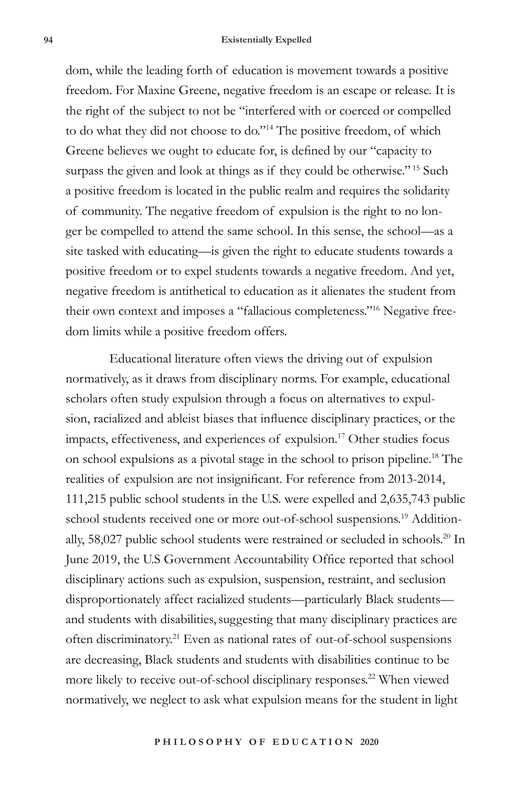dom, while the leading forth of education is movement towards a positive freedom. For Maxine Greene, negative freedom is an escape or release. It is the right of the subject to not be "interfered with or coerced or compelled to do what they did not choose to do."14 The positive freedom, of which Greene believes we ought to educate for, is defined by our "capacity to surpass the given and look at things as if they could be otherwise."<sup>15</sup> Such a positive freedom is located in the public realm and requires the solidarity of community. The negative freedom of expulsion is the right to no longer be compelled to attend the same school. In this sense, the school—as a site tasked with educating—is given the right to educate students towards a positive freedom or to expel students towards a negative freedom. And yet, negative freedom is antithetical to education as it alienates the student from their own context and imposes a "fallacious completeness."16 Negative freedom limits while a positive freedom offers.

Educational literature often views the driving out of expulsion normatively, as it draws from disciplinary norms. For example, educational scholars often study expulsion through a focus on alternatives to expulsion, racialized and ableist biases that influence disciplinary practices, or the impacts, effectiveness, and experiences of expulsion.17 Other studies focus on school expulsions as a pivotal stage in the school to prison pipeline.18 The realities of expulsion are not insignificant. For reference from 2013-2014, 111,215 public school students in the U.S. were expelled and 2,635,743 public school students received one or more out-of-school suspensions.<sup>19</sup> Additionally, 58,027 public school students were restrained or secluded in schools.<sup>20</sup> In June 2019, the U.S Government Accountability Office reported that school disciplinary actions such as expulsion, suspension, restraint, and seclusion disproportionately affect racialized students—particularly Black students and students with disabilities, suggesting that many disciplinary practices are often discriminatory.21 Even as national rates of out-of-school suspensions are decreasing, Black students and students with disabilities continue to be more likely to receive out-of-school disciplinary responses.<sup>22</sup> When viewed normatively, we neglect to ask what expulsion means for the student in light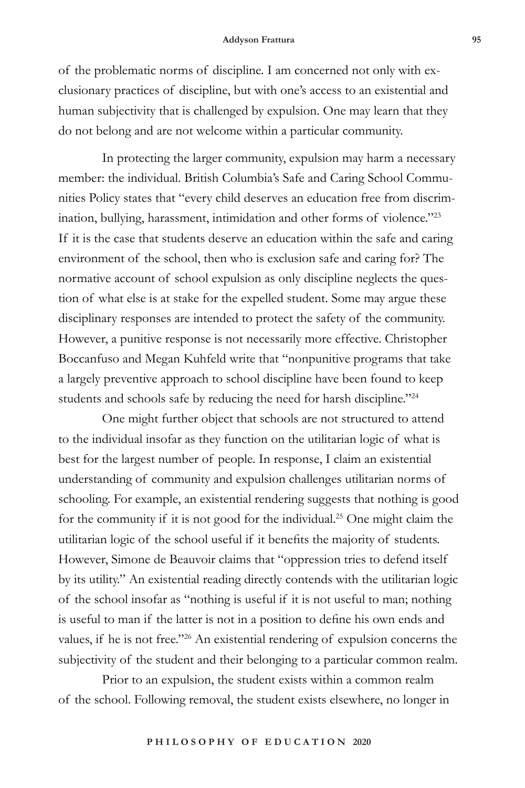of the problematic norms of discipline. I am concerned not only with exclusionary practices of discipline, but with one's access to an existential and human subjectivity that is challenged by expulsion. One may learn that they do not belong and are not welcome within a particular community.

In protecting the larger community, expulsion may harm a necessary member: the individual. British Columbia's Safe and Caring School Communities Policy states that "every child deserves an education free from discrimination, bullying, harassment, intimidation and other forms of violence."23 If it is the case that students deserve an education within the safe and caring environment of the school, then who is exclusion safe and caring for? The normative account of school expulsion as only discipline neglects the question of what else is at stake for the expelled student. Some may argue these disciplinary responses are intended to protect the safety of the community. However, a punitive response is not necessarily more effective. Christopher Boccanfuso and Megan Kuhfeld write that "nonpunitive programs that take a largely preventive approach to school discipline have been found to keep students and schools safe by reducing the need for harsh discipline."24

One might further object that schools are not structured to attend to the individual insofar as they function on the utilitarian logic of what is best for the largest number of people. In response, I claim an existential understanding of community and expulsion challenges utilitarian norms of schooling. For example, an existential rendering suggests that nothing is good for the community if it is not good for the individual.25 One might claim the utilitarian logic of the school useful if it benefits the majority of students. However, Simone de Beauvoir claims that "oppression tries to defend itself by its utility." An existential reading directly contends with the utilitarian logic of the school insofar as "nothing is useful if it is not useful to man; nothing is useful to man if the latter is not in a position to define his own ends and values, if he is not free."26 An existential rendering of expulsion concerns the subjectivity of the student and their belonging to a particular common realm.

Prior to an expulsion, the student exists within a common realm of the school. Following removal, the student exists elsewhere, no longer in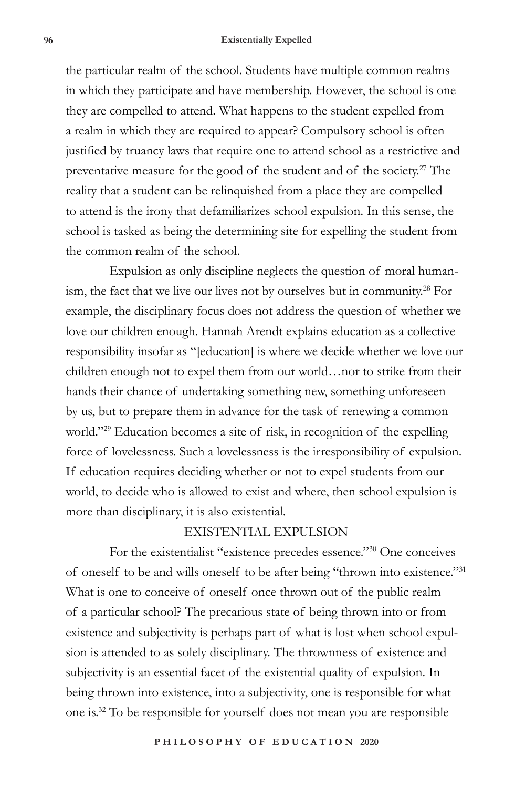### **96 Existentially Expelled**

the particular realm of the school. Students have multiple common realms in which they participate and have membership. However, the school is one they are compelled to attend. What happens to the student expelled from a realm in which they are required to appear? Compulsory school is often justified by truancy laws that require one to attend school as a restrictive and preventative measure for the good of the student and of the society.<sup>27</sup> The reality that a student can be relinquished from a place they are compelled to attend is the irony that defamiliarizes school expulsion. In this sense, the school is tasked as being the determining site for expelling the student from the common realm of the school.

Expulsion as only discipline neglects the question of moral humanism, the fact that we live our lives not by ourselves but in community.<sup>28</sup> For example, the disciplinary focus does not address the question of whether we love our children enough. Hannah Arendt explains education as a collective responsibility insofar as "[education] is where we decide whether we love our children enough not to expel them from our world…nor to strike from their hands their chance of undertaking something new, something unforeseen by us, but to prepare them in advance for the task of renewing a common world."<sup>29</sup> Education becomes a site of risk, in recognition of the expelling force of lovelessness. Such a lovelessness is the irresponsibility of expulsion. If education requires deciding whether or not to expel students from our world, to decide who is allowed to exist and where, then school expulsion is more than disciplinary, it is also existential.

### EXISTENTIAL EXPULSION

For the existentialist "existence precedes essence."30 One conceives of oneself to be and wills oneself to be after being "thrown into existence."31 What is one to conceive of oneself once thrown out of the public realm of a particular school? The precarious state of being thrown into or from existence and subjectivity is perhaps part of what is lost when school expulsion is attended to as solely disciplinary. The thrownness of existence and subjectivity is an essential facet of the existential quality of expulsion. In being thrown into existence, into a subjectivity, one is responsible for what one is.32 To be responsible for yourself does not mean you are responsible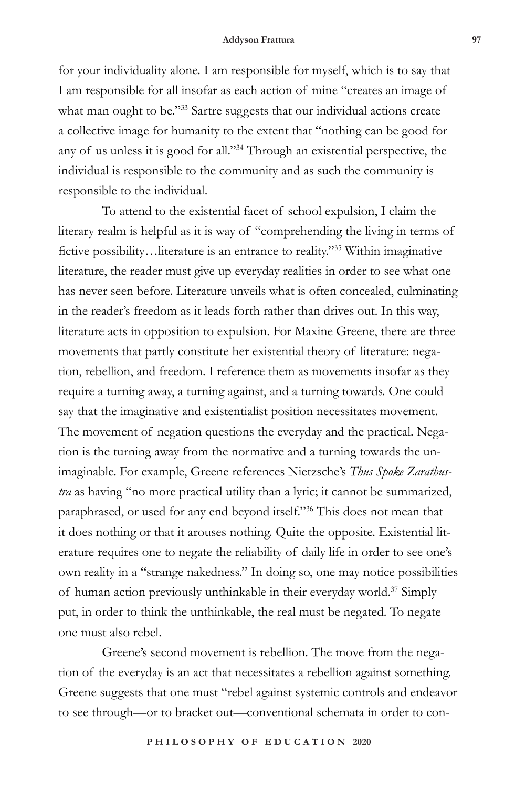for your individuality alone. I am responsible for myself, which is to say that I am responsible for all insofar as each action of mine "creates an image of what man ought to be."33 Sartre suggests that our individual actions create a collective image for humanity to the extent that "nothing can be good for any of us unless it is good for all."34 Through an existential perspective, the individual is responsible to the community and as such the community is responsible to the individual.

To attend to the existential facet of school expulsion, I claim the literary realm is helpful as it is way of "comprehending the living in terms of fictive possibility…literature is an entrance to reality."35 Within imaginative literature, the reader must give up everyday realities in order to see what one has never seen before. Literature unveils what is often concealed, culminating in the reader's freedom as it leads forth rather than drives out. In this way, literature acts in opposition to expulsion. For Maxine Greene, there are three movements that partly constitute her existential theory of literature: negation, rebellion, and freedom. I reference them as movements insofar as they require a turning away, a turning against, and a turning towards. One could say that the imaginative and existentialist position necessitates movement. The movement of negation questions the everyday and the practical. Negation is the turning away from the normative and a turning towards the unimaginable. For example, Greene references Nietzsche's *Thus Spoke Zarathustra* as having "no more practical utility than a lyric; it cannot be summarized, paraphrased, or used for any end beyond itself."36 This does not mean that it does nothing or that it arouses nothing. Quite the opposite. Existential literature requires one to negate the reliability of daily life in order to see one's own reality in a "strange nakedness." In doing so, one may notice possibilities of human action previously unthinkable in their everyday world.<sup>37</sup> Simply put, in order to think the unthinkable, the real must be negated. To negate one must also rebel.

Greene's second movement is rebellion. The move from the negation of the everyday is an act that necessitates a rebellion against something. Greene suggests that one must "rebel against systemic controls and endeavor to see through—or to bracket out—conventional schemata in order to con-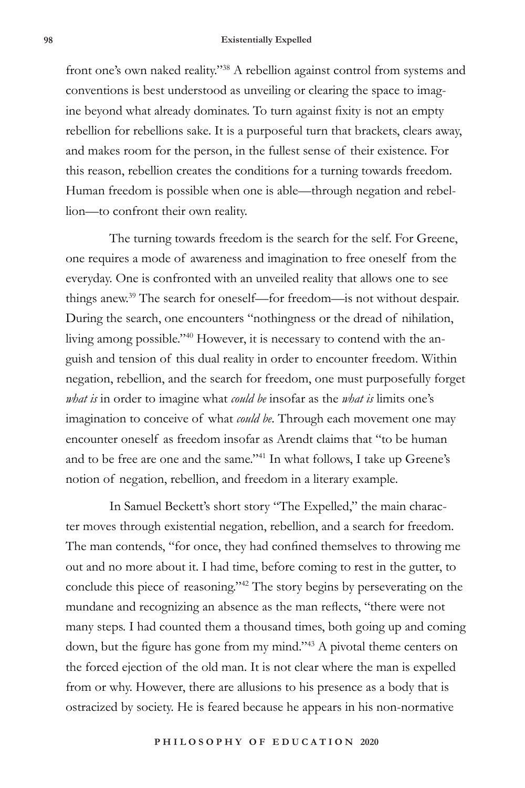### **98 Existentially Expelled**

front one's own naked reality."38 A rebellion against control from systems and conventions is best understood as unveiling or clearing the space to imagine beyond what already dominates. To turn against fixity is not an empty rebellion for rebellions sake. It is a purposeful turn that brackets, clears away, and makes room for the person, in the fullest sense of their existence. For this reason, rebellion creates the conditions for a turning towards freedom. Human freedom is possible when one is able—through negation and rebellion—to confront their own reality.

The turning towards freedom is the search for the self. For Greene, one requires a mode of awareness and imagination to free oneself from the everyday. One is confronted with an unveiled reality that allows one to see things anew.39 The search for oneself—for freedom—is not without despair. During the search, one encounters "nothingness or the dread of nihilation, living among possible."40 However, it is necessary to contend with the anguish and tension of this dual reality in order to encounter freedom. Within negation, rebellion, and the search for freedom, one must purposefully forget *what is* in order to imagine what *could be* insofar as the *what is* limits one's imagination to conceive of what *could be*. Through each movement one may encounter oneself as freedom insofar as Arendt claims that "to be human and to be free are one and the same."41 In what follows, I take up Greene's notion of negation, rebellion, and freedom in a literary example.

In Samuel Beckett's short story "The Expelled," the main character moves through existential negation, rebellion, and a search for freedom. The man contends, "for once, they had confined themselves to throwing me out and no more about it. I had time, before coming to rest in the gutter, to conclude this piece of reasoning."42 The story begins by perseverating on the mundane and recognizing an absence as the man reflects, "there were not many steps. I had counted them a thousand times, both going up and coming down, but the figure has gone from my mind."43 A pivotal theme centers on the forced ejection of the old man. It is not clear where the man is expelled from or why. However, there are allusions to his presence as a body that is ostracized by society. He is feared because he appears in his non-normative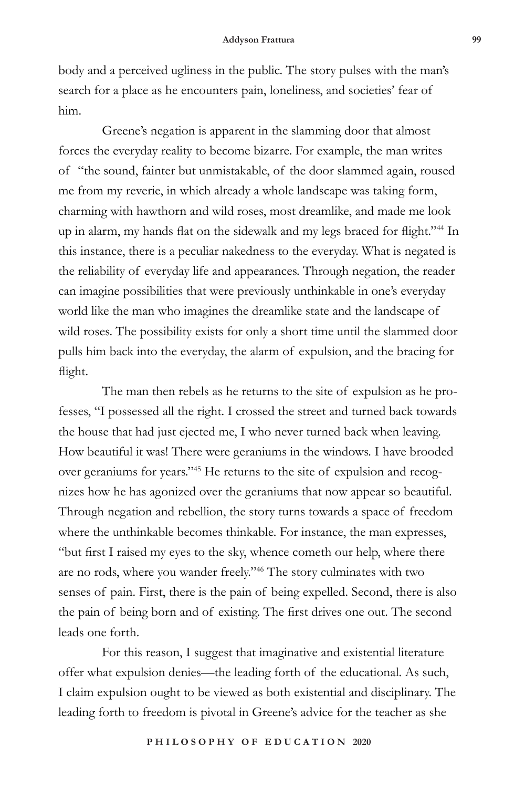body and a perceived ugliness in the public. The story pulses with the man's search for a place as he encounters pain, loneliness, and societies' fear of him.

Greene's negation is apparent in the slamming door that almost forces the everyday reality to become bizarre. For example, the man writes of "the sound, fainter but unmistakable, of the door slammed again, roused me from my reverie, in which already a whole landscape was taking form, charming with hawthorn and wild roses, most dreamlike, and made me look up in alarm, my hands flat on the sidewalk and my legs braced for flight."<sup>44</sup> In this instance, there is a peculiar nakedness to the everyday. What is negated is the reliability of everyday life and appearances. Through negation, the reader can imagine possibilities that were previously unthinkable in one's everyday world like the man who imagines the dreamlike state and the landscape of wild roses. The possibility exists for only a short time until the slammed door pulls him back into the everyday, the alarm of expulsion, and the bracing for flight.

The man then rebels as he returns to the site of expulsion as he professes, "I possessed all the right. I crossed the street and turned back towards the house that had just ejected me, I who never turned back when leaving. How beautiful it was! There were geraniums in the windows. I have brooded over geraniums for years."45 He returns to the site of expulsion and recognizes how he has agonized over the geraniums that now appear so beautiful. Through negation and rebellion, the story turns towards a space of freedom where the unthinkable becomes thinkable. For instance, the man expresses, "but first I raised my eyes to the sky, whence cometh our help, where there are no rods, where you wander freely."46 The story culminates with two senses of pain. First, there is the pain of being expelled. Second, there is also the pain of being born and of existing. The first drives one out. The second leads one forth.

For this reason, I suggest that imaginative and existential literature offer what expulsion denies—the leading forth of the educational. As such, I claim expulsion ought to be viewed as both existential and disciplinary. The leading forth to freedom is pivotal in Greene's advice for the teacher as she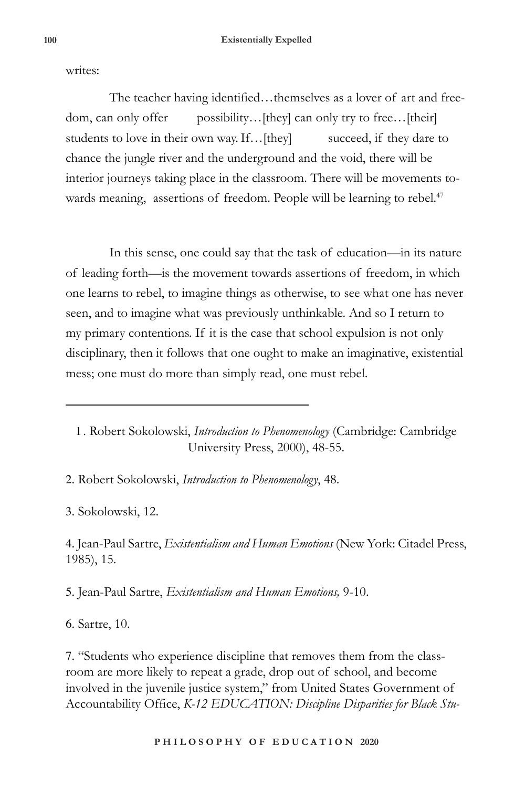writes:

The teacher having identified…themselves as a lover of art and freedom, can only offer possibility...[they] can only try to free...[their] students to love in their own way. If... [they] succeed, if they dare to chance the jungle river and the underground and the void, there will be interior journeys taking place in the classroom. There will be movements towards meaning, assertions of freedom. People will be learning to rebel.<sup>47</sup>

In this sense, one could say that the task of education—in its nature of leading forth—is the movement towards assertions of freedom, in which one learns to rebel, to imagine things as otherwise, to see what one has never seen, and to imagine what was previously unthinkable. And so I return to my primary contentions. If it is the case that school expulsion is not only disciplinary, then it follows that one ought to make an imaginative, existential mess; one must do more than simply read, one must rebel.

1 . Robert Sokolowski, *Introduction to Phenomenology* (Cambridge: Cambridge University Press, 2000), 48-55.

2. Robert Sokolowski, *Introduction to Phenomenology*, 48.

3. Sokolowski, 12.

4. Jean-Paul Sartre, *Existentialism and Human Emotions* (New York: Citadel Press, 1985), 15.

5. Jean-Paul Sartre, *Existentialism and Human Emotions,* 9-10.

6. Sartre, 10.

7. "Students who experience discipline that removes them from the classroom are more likely to repeat a grade, drop out of school, and become involved in the juvenile justice system," from United States Government of Accountability Office, *K-12 EDUCATION: Discipline Disparities for Black Stu-*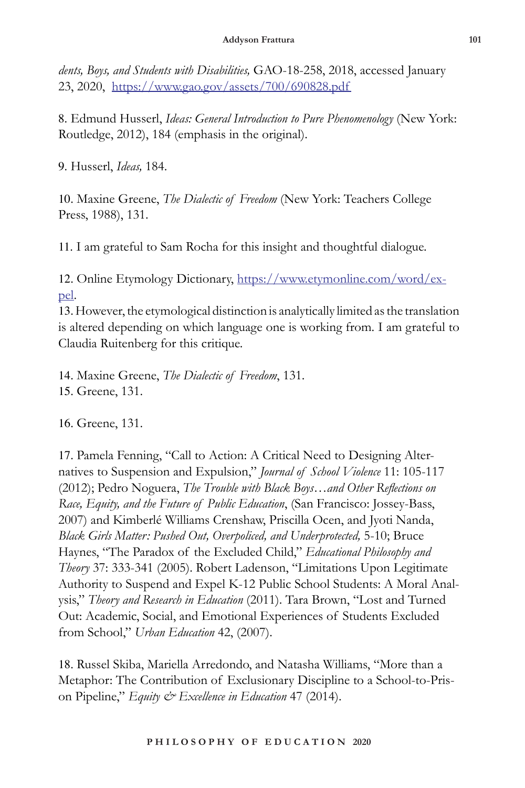*dents, Boys, and Students with Disabilities,* GAO-18-258, 2018, accessed January 23, 2020, https://www.gao.gov/assets/700/690828.pdf

8. Edmund Husserl, *Ideas: General Introduction to Pure Phenomenology* (New York: Routledge, 2012), 184 (emphasis in the original).

9. Husserl, *Ideas,* 184.

10. Maxine Greene, *The Dialectic of Freedom* (New York: Teachers College Press, 1988), 131.

11. I am grateful to Sam Rocha for this insight and thoughtful dialogue.

12. Online Etymology Dictionary, https://www.etymonline.com/word/expel.

13. However, the etymological distinction is analytically limited as the translation is altered depending on which language one is working from. I am grateful to Claudia Ruitenberg for this critique.

14. Maxine Greene, *The Dialectic of Freedom*, 131. 15. Greene, 131.

16. Greene, 131.

17. Pamela Fenning, "Call to Action: A Critical Need to Designing Alternatives to Suspension and Expulsion," *Journal of School Violence* 11: 105-117 (2012); Pedro Noguera, *The Trouble with Black Boys…and Other Reflections on Race, Equity, and the Future of Public Education*, (San Francisco: Jossey-Bass, 2007) and Kimberlé Williams Crenshaw, Priscilla Ocen, and Jyoti Nanda, *Black Girls Matter: Pushed Out, Overpoliced, and Underprotected,* 5-10; Bruce Haynes, "The Paradox of the Excluded Child," *Educational Philosophy and Theory* 37: 333-341 (2005). Robert Ladenson, "Limitations Upon Legitimate Authority to Suspend and Expel K-12 Public School Students: A Moral Analysis," *Theory and Research in Education* (2011). Tara Brown, "Lost and Turned Out: Academic, Social, and Emotional Experiences of Students Excluded from School," *Urban Education* 42, (2007).

18. Russel Skiba, Mariella Arredondo, and Natasha Williams, "More than a Metaphor: The Contribution of Exclusionary Discipline to a School-to-Prison Pipeline," *Equity & Excellence in Education* 47 (2014).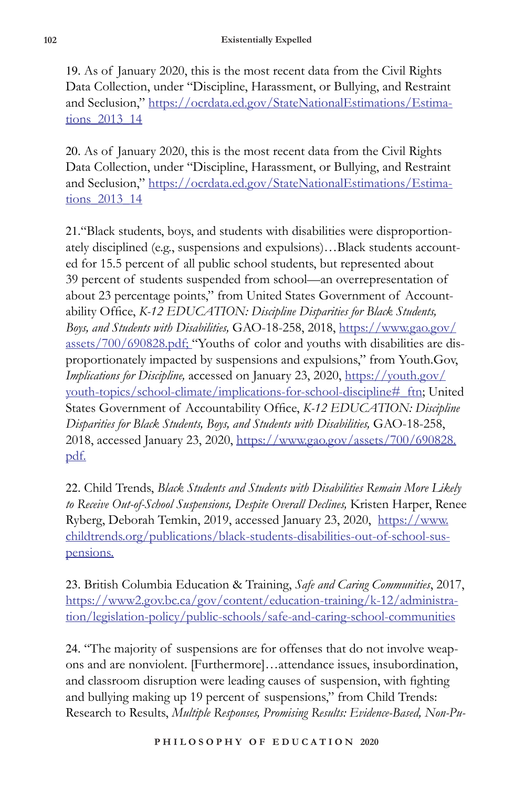19. As of January 2020, this is the most recent data from the Civil Rights Data Collection, under "Discipline, Harassment, or Bullying, and Restraint and Seclusion," https://ocrdata.ed.gov/StateNationalEstimations/Estimations\_2013\_14

20. As of January 2020, this is the most recent data from the Civil Rights Data Collection, under "Discipline, Harassment, or Bullying, and Restraint and Seclusion," https://ocrdata.ed.gov/StateNationalEstimations/Estimations\_2013\_14

21."Black students, boys, and students with disabilities were disproportionately disciplined (e.g., suspensions and expulsions)…Black students accounted for 15.5 percent of all public school students, but represented about 39 percent of students suspended from school—an overrepresentation of about 23 percentage points," from United States Government of Accountability Office, *K-12 EDUCATION: Discipline Disparities for Black Students, Boys, and Students with Disabilities,* GAO-18-258, 2018, https://www.gao.gov/ assets/700/690828.pdf; "Youths of color and youths with disabilities are disproportionately impacted by suspensions and expulsions," from Youth.Gov, *Implications for Discipline,* accessed on January 23, 2020, https://youth.gov/ youth-topics/school-climate/implications-for-school-discipline#\_ftn; United States Government of Accountability Office, *K-12 EDUCATION: Discipline Disparities for Black Students, Boys, and Students with Disabilities,* GAO-18-258, 2018, accessed January 23, 2020, https://www.gao.gov/assets/700/690828. pdf.

22. Child Trends, *Black Students and Students with Disabilities Remain More Likely to Receive Out-of-School Suspensions, Despite Overall Declines,* Kristen Harper, Renee Ryberg, Deborah Temkin, 2019, accessed January 23, 2020, https://www. childtrends.org/publications/black-students-disabilities-out-of-school-suspensions.

23. British Columbia Education & Training, *Safe and Caring Communities*, 2017, https://www2.gov.bc.ca/gov/content/education-training/k-12/administration/legislation-policy/public-schools/safe-and-caring-school-communities

24. "The majority of suspensions are for offenses that do not involve weapons and are nonviolent. [Furthermore]…attendance issues, insubordination, and classroom disruption were leading causes of suspension, with fighting and bullying making up 19 percent of suspensions," from Child Trends: Research to Results, *Multiple Responses, Promising Results: Evidence-Based, Non-Pu-*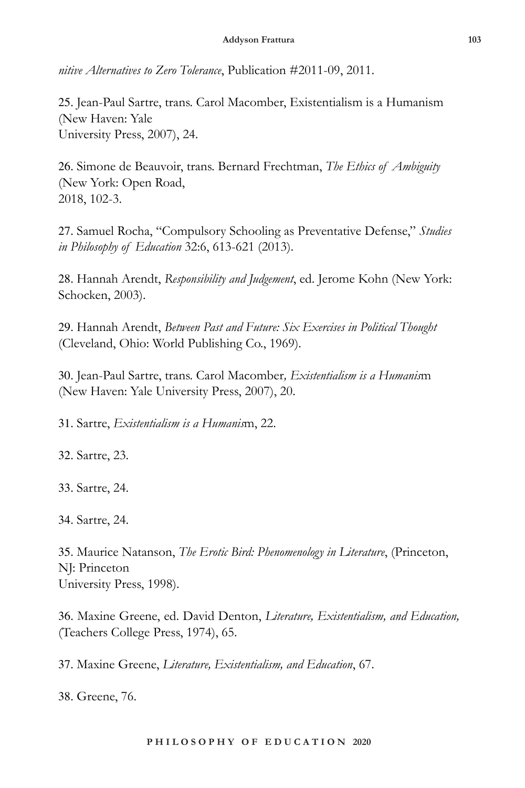*nitive Alternatives to Zero Tolerance*, Publication #2011-09, 2011.

25. Jean-Paul Sartre, trans. Carol Macomber, Existentialism is a Humanism (New Haven: Yale University Press, 2007), 24.

26. Simone de Beauvoir, trans. Bernard Frechtman, *The Ethics of Ambiguity* (New York: Open Road, 2018, 102-3.

27. Samuel Rocha, "Compulsory Schooling as Preventative Defense," *Studies in Philosophy of Education* 32:6, 613-621 (2013).

28. Hannah Arendt, *Responsibility and Judgement*, ed. Jerome Kohn (New York: Schocken, 2003).

29. Hannah Arendt, *Between Past and Future: Six Exercises in Political Thought* (Cleveland, Ohio: World Publishing Co., 1969).

30. Jean-Paul Sartre, trans. Carol Macomber*, Existentialism is a Humanis*m (New Haven: Yale University Press, 2007), 20.

31. Sartre, *Existentialism is a Humanis*m, 22.

32. Sartre, 23.

33. Sartre, 24.

34. Sartre, 24.

35. Maurice Natanson, *The Erotic Bird: Phenomenology in Literature*, (Princeton, NJ: Princeton University Press, 1998).

36. Maxine Greene, ed. David Denton, *Literature, Existentialism, and Education,*  (Teachers College Press, 1974), 65.

37. Maxine Greene, *Literature, Existentialism, and Education*, 67.

38. Greene, 76.